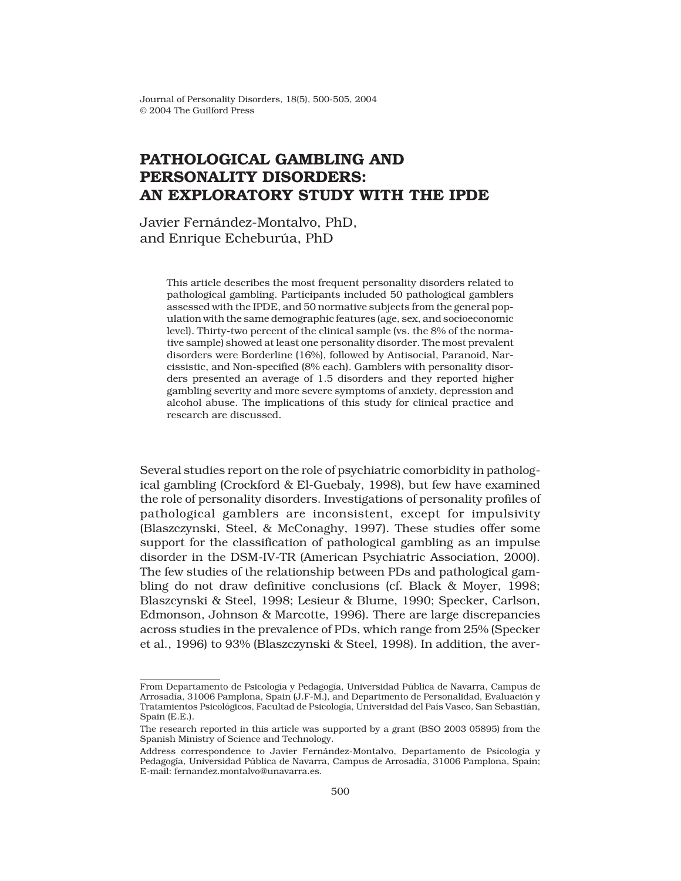# **PATHOLOGICAL GAMBLING AND PERSONALITY DISORDERS: AN EXPLORATORY STUDY WITH THE IPDE**

Javier Fernández-Montalvo, PhD, and Enrique Echeburúa, PhD

> This article describes the most frequent personality disorders related to pathological gambling. Participants included 50 pathological gamblers assessed with the IPDE, and 50 normative subjects from the general population with the same demographic features (age, sex, and socioeconomic level). Thirty-two percent of the clinical sample (vs. the 8% of the normative sample) showed at least one personality disorder. The most prevalent disorders were Borderline (16%), followed by Antisocial, Paranoid, Narcissistic, and Non-specified (8% each). Gamblers with personality disorders presented an average of 1.5 disorders and they reported higher gambling severity and more severe symptoms of anxiety, depression and alcohol abuse. The implications of this study for clinical practice and research are discussed.

Several studies report on the role of psychiatric comorbidity in pathological gambling (Crockford & El-Guebaly, 1998), but few have examined the role of personality disorders. Investigations of personality profiles of pathological gamblers are inconsistent, except for impulsivity (Blaszczynski, Steel, & McConaghy, 1997). These studies offer some support for the classification of pathological gambling as an impulse disorder in the DSM-IV-TR (American Psychiatric Association, 2000). The few studies of the relationship between PDs and pathological gambling do not draw definitive conclusions (cf. Black & Moyer, 1998; Blaszcynski & Steel, 1998; Lesieur & Blume, 1990; Specker, Carlson, Edmonson, Johnson & Marcotte, 1996). There are large discrepancies across studies in the prevalence of PDs, which range from 25% (Specker et al., 1996) to 93% (Blaszczynski & Steel, 1998). In addition, the aver-

From Departamento de Psicología y Pedagogía, Universidad Pública de Navarra, Campus de Arrosadía, 31006 Pamplona, Spain (J.F-M.), and Departmento de Personalidad, Evaluación y Tratamientos Psicológicos, Facultad de Psicología, Universidad del País Vasco, San Sebastián, Spain (E.E.).

The research reported in this article was supported by a grant (BSO 2003 05895) from the Spanish Ministry of Science and Technology.

Address correspondence to Javier Fernández-Montalvo, Departamento de Psicología y Pedagogía, Universidad Pública de Navarra, Campus de Arrosadía, 31006 Pamplona, Spain; E-mail: fernandez.montalvo@unavarra.es.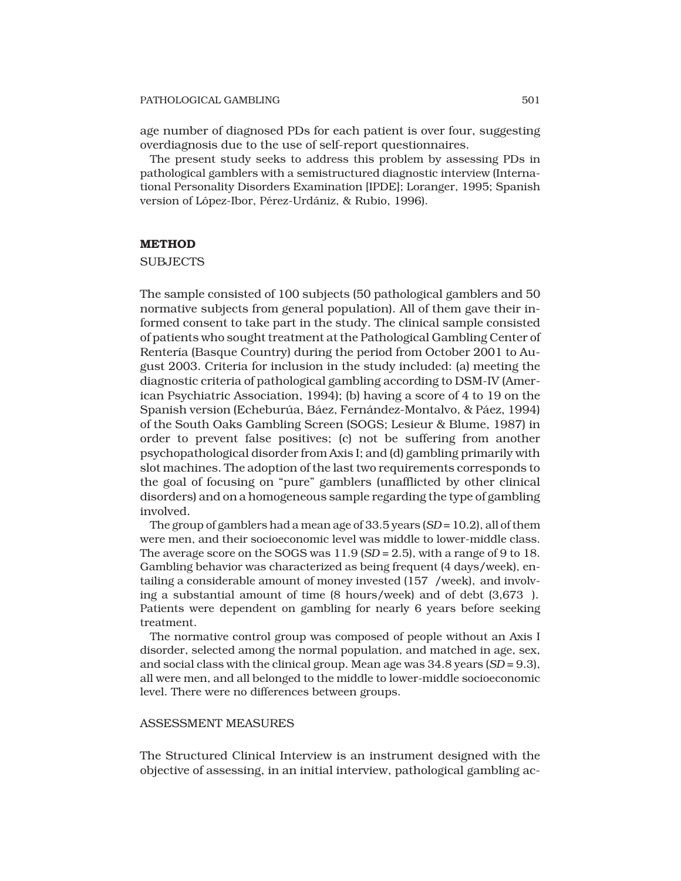#### PATHOLOGICAL GAMBLING 501

age number of diagnosed PDs for each patient is over four, suggesting overdiagnosis due to the use of self-report questionnaires.

The present study seeks to address this problem by assessing PDs in pathological gamblers with a semistructured diagnostic interview (International Personality Disorders Examination [IPDE]; Loranger, 1995; Spanish version of López-Ibor, Pérez-Urdániz, & Rubio, 1996).

# **METHOD**

## **SUBJECTS**

The sample consisted of 100 subjects (50 pathological gamblers and 50 normative subjects from general population). All of them gave their informed consent to take part in the study. The clinical sample consisted of patients who sought treatment at the Pathological Gambling Center of Rentería (Basque Country) during the period from October 2001 to August 2003. Criteria for inclusion in the study included: (a) meeting the diagnostic criteria of pathological gambling according to DSM-IV (American Psychiatric Association, 1994); (b) having a score of 4 to 19 on the Spanish version (Echeburúa, Báez, Fernández-Montalvo, & Páez, 1994) of the South Oaks Gambling Screen (SOGS; Lesieur & Blume, 1987) in order to prevent false positives; (c) not be suffering from another psychopathological disorder from Axis I; and (d) gambling primarily with slot machines. The adoption of the last two requirements corresponds to the goal of focusing on "pure" gamblers (unafflicted by other clinical disorders) and on a homogeneous sample regarding the type of gambling involved.

The group of gamblers had a mean age of 33.5 years (*SD* = 10.2), all of them were men, and their socioeconomic level was middle to lower-middle class. The average score on the SOGS was 11.9 (*SD* = 2.5), with a range of 9 to 18. Gambling behavior was characterized as being frequent (4 days/week), entailing a considerable amount of money invested (157 /week), and involving a substantial amount of time (8 hours/week) and of debt (3,673 ). Patients were dependent on gambling for nearly 6 years before seeking treatment.

The normative control group was composed of people without an Axis I disorder, selected among the normal population, and matched in age, sex, and social class with the clinical group. Mean age was 34.8 years (*SD* = 9.3), all were men, and all belonged to the middle to lower-middle socioeconomic level. There were no differences between groups.

#### ASSESSMENT MEASURES

The Structured Clinical Interview is an instrument designed with the objective of assessing, in an initial interview, pathological gambling ac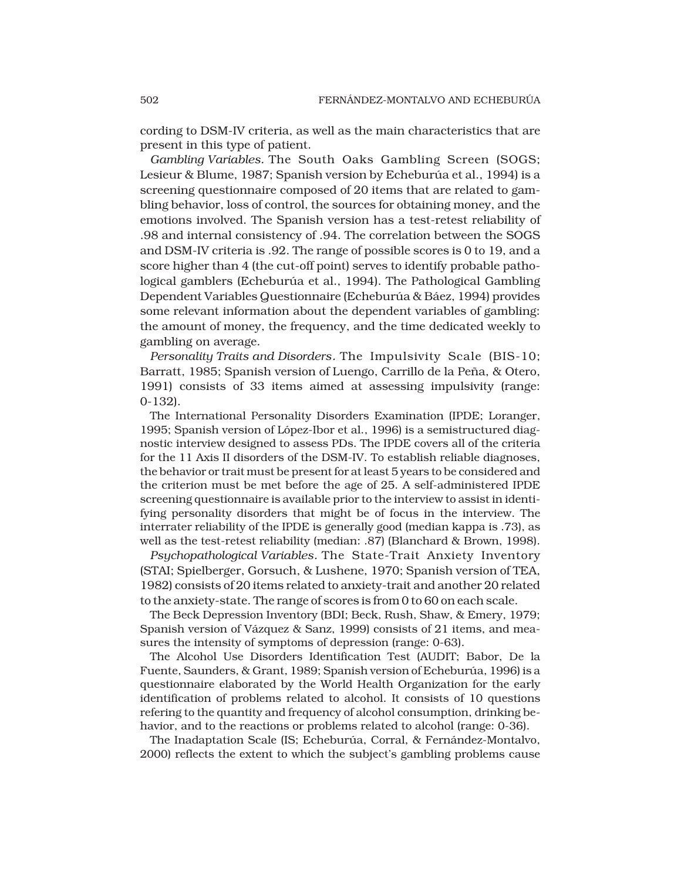cording to DSM-IV criteria, as well as the main characteristics that are present in this type of patient.

*Gambling Variables.* The South Oaks Gambling Screen (SOGS; Lesieur & Blume, 1987; Spanish version by Echeburúa et al., 1994) is a screening questionnaire composed of 20 items that are related to gambling behavior, loss of control, the sources for obtaining money, and the emotions involved. The Spanish version has a test-retest reliability of .98 and internal consistency of .94. The correlation between the SOGS and DSM-IV criteria is .92. The range of possible scores is 0 to 19, and a score higher than 4 (the cut-off point) serves to identify probable pathological gamblers (Echeburúa et al., 1994). The Pathological Gambling Dependent Variables Questionnaire (Echeburúa & Báez, 1994) provides some relevant information about the dependent variables of gambling: the amount of money, the frequency, and the time dedicated weekly to gambling on average.

*Personality Traits and Disorders.* The Impulsivity Scale (BIS-10; Barratt, 1985; Spanish version of Luengo, Carrillo de la Peña, & Otero, 1991) consists of 33 items aimed at assessing impulsivity (range: 0-132).

The International Personality Disorders Examination (IPDE; Loranger, 1995; Spanish version of López-Ibor et al., 1996) is a semistructured diagnostic interview designed to assess PDs. The IPDE covers all of the criteria for the 11 Axis II disorders of the DSM-IV. To establish reliable diagnoses, the behavior or trait must be present for at least 5 years to be considered and the criterion must be met before the age of 25. A self-administered IPDE screening questionnaire is available prior to the interview to assist in identifying personality disorders that might be of focus in the interview. The interrater reliability of the IPDE is generally good (median kappa is .73), as well as the test-retest reliability (median: .87) (Blanchard & Brown, 1998).

*Psychopathological Variables.* The State-Trait Anxiety Inventory (STAI; Spielberger, Gorsuch, & Lushene, 1970; Spanish version of TEA, 1982) consists of 20 items related to anxiety-trait and another 20 related to the anxiety-state. The range of scores is from 0 to 60 on each scale.

The Beck Depression Inventory (BDI; Beck, Rush, Shaw, & Emery, 1979; Spanish version of Vázquez & Sanz, 1999) consists of 21 items, and measures the intensity of symptoms of depression (range: 0-63).

The Alcohol Use Disorders Identification Test (AUDIT; Babor, De la Fuente, Saunders, & Grant, 1989; Spanish version of Echeburúa, 1996) is a questionnaire elaborated by the World Health Organization for the early identification of problems related to alcohol. It consists of 10 questions refering to the quantity and frequency of alcohol consumption, drinking behavior, and to the reactions or problems related to alcohol (range: 0-36).

The Inadaptation Scale (IS; Echeburúa, Corral, & Fernández-Montalvo, 2000) reflects the extent to which the subject's gambling problems cause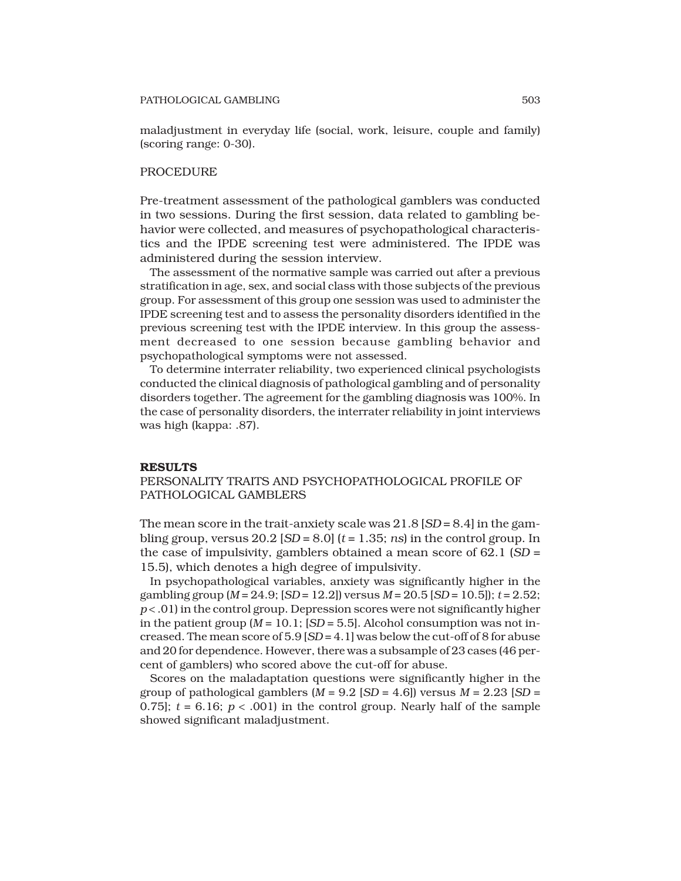#### PATHOLOGICAL GAMBLING 503

maladjustment in everyday life (social, work, leisure, couple and family) (scoring range: 0-30).

## PROCEDURE

Pre-treatment assessment of the pathological gamblers was conducted in two sessions. During the first session, data related to gambling behavior were collected, and measures of psychopathological characteristics and the IPDE screening test were administered. The IPDE was administered during the session interview.

The assessment of the normative sample was carried out after a previous stratification in age, sex, and social class with those subjects of the previous group. For assessment of this group one session was used to administer the IPDE screening test and to assess the personality disorders identified in the previous screening test with the IPDE interview. In this group the assessment decreased to one session because gambling behavior and psychopathological symptoms were not assessed.

To determine interrater reliability, two experienced clinical psychologists conducted the clinical diagnosis of pathological gambling and of personality disorders together. The agreement for the gambling diagnosis was 100%. In the case of personality disorders, the interrater reliability in joint interviews was high (kappa: .87).

## **RESULTS**

PERSONALITY TRAITS AND PSYCHOPATHOLOGICAL PROFILE OF PATHOLOGICAL GAMBLERS

The mean score in the trait-anxiety scale was 21.8 [*SD* = 8.4] in the gambling group, versus  $20.2$  [*SD* =  $8.0$ ] ( $t = 1.35$ ; *ns*) in the control group. In the case of impulsivity, gamblers obtained a mean score of 62.1 (*SD* = 15.5), which denotes a high degree of impulsivity.

In psychopathological variables, anxiety was significantly higher in the gambling group (*M* = 24.9; [*SD* = 12.2]) versus *M* = 20.5 [*SD* = 10.5]); *t* = 2.52; *p* < .01) in the control group. Depression scores were not significantly higher in the patient group  $(M = 10.1; [SD = 5.5]$ . Alcohol consumption was not increased. The mean score of  $5.9$   $|SD = 4.1|$  was below the cut-off of 8 for abuse and 20 for dependence. However, there was a subsample of 23 cases (46 percent of gamblers) who scored above the cut-off for abuse.

Scores on the maladaptation questions were significantly higher in the group of pathological gamblers  $(M = 9.2$  [*SD* = 4.6]) versus  $M = 2.23$  [*SD* = 0.75];  $t = 6.16$ ;  $p < .001$  in the control group. Nearly half of the sample showed significant maladjustment.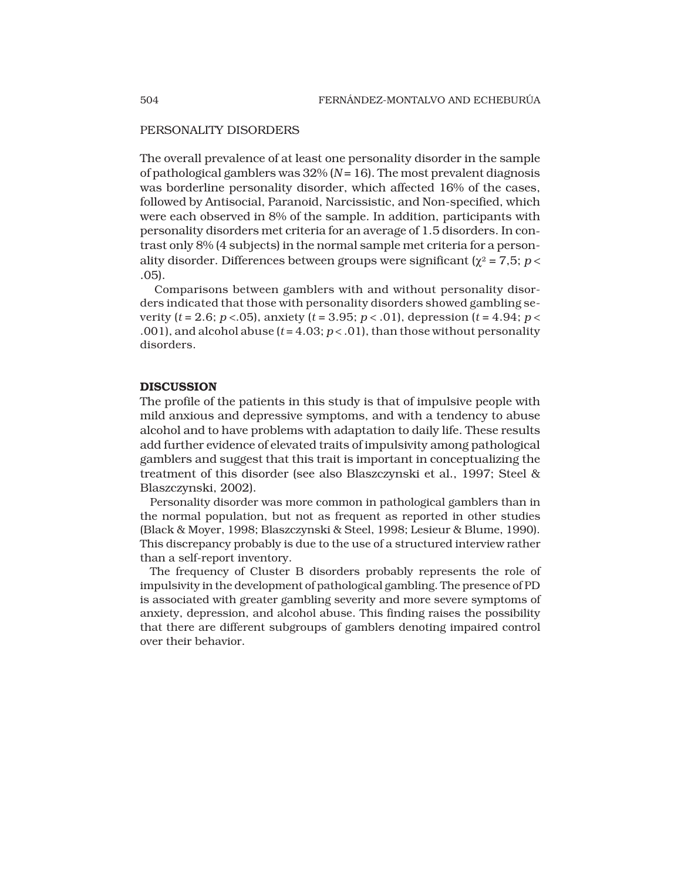# PERSONALITY DISORDERS

The overall prevalence of at least one personality disorder in the sample of pathological gamblers was 32% (*N* = 16). The most prevalent diagnosis was borderline personality disorder, which affected 16% of the cases, followed by Antisocial, Paranoid, Narcissistic, and Non-specified, which were each observed in 8% of the sample. In addition, participants with personality disorders met criteria for an average of 1.5 disorders. In contrast only 8% (4 subjects) in the normal sample met criteria for a personality disorder. Differences between groups were significant ( $\gamma^2$  = 7,5; *p* < .05).

Comparisons between gamblers with and without personality disorders indicated that those with personality disorders showed gambling severity (*t* = 2.6; *p* <.05), anxiety (*t* = 3.95; *p* < .01), depression (*t* = 4.94; *p* < .001), and alcohol abuse  $(t = 4.03; p < .01)$ , than those without personality disorders.

# **DISCUSSION**

The profile of the patients in this study is that of impulsive people with mild anxious and depressive symptoms, and with a tendency to abuse alcohol and to have problems with adaptation to daily life. These results add further evidence of elevated traits of impulsivity among pathological gamblers and suggest that this trait is important in conceptualizing the treatment of this disorder (see also Blaszczynski et al., 1997; Steel & Blaszczynski, 2002).

Personality disorder was more common in pathological gamblers than in the normal population, but not as frequent as reported in other studies (Black & Moyer, 1998; Blaszczynski & Steel, 1998; Lesieur & Blume, 1990). This discrepancy probably is due to the use of a structured interview rather than a self-report inventory.

The frequency of Cluster B disorders probably represents the role of impulsivity in the development of pathological gambling. The presence of PD is associated with greater gambling severity and more severe symptoms of anxiety, depression, and alcohol abuse. This finding raises the possibility that there are different subgroups of gamblers denoting impaired control over their behavior.